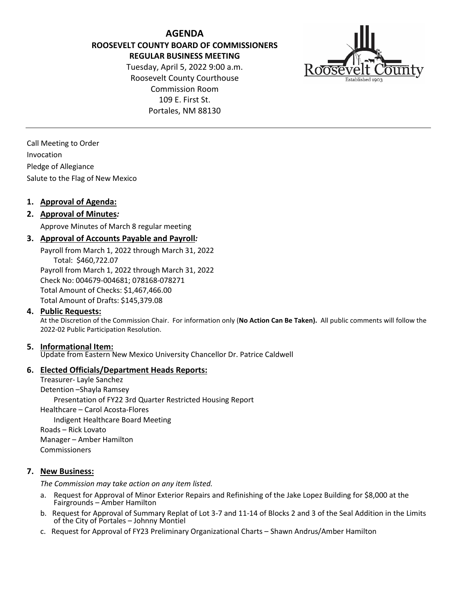**AGENDA ROOSEVELT COUNTY BOARD OF COMMISSIONERS REGULAR BUSINESS MEETING**

Tuesday, April 5, 2022 9:00 a.m. Roosevelt County Courthouse Commission Room 109 E. First St. Portales, NM 88130



Call Meeting to Order Invocation Pledge of Allegiance Salute to the Flag of New Mexico

## **1. Approval of Agenda:**

## **2. Approval of Minutes***:*

Approve Minutes of March 8 regular meeting

## **3. Approval of Accounts Payable and Payroll***:*

Payroll from March 1, 2022 through March 31, 2022 Total: \$460,722.07 Payroll from March 1, 2022 through March 31, 2022 Check No: 004679-004681; 078168-078271 Total Amount of Checks: \$1,467,466.00 Total Amount of Drafts: \$145,379.08

### **4. Public Requests:**

At the Discretion of the Commission Chair. For information only (**No Action Can Be Taken).** All public comments will follow the 2022-02 Public Participation Resolution.

### **5. Informational Item:**

Update from Eastern New Mexico University Chancellor Dr. Patrice Caldwell

#### **6. Elected Officials/Department Heads Reports:**

Treasurer- Layle Sanchez Detention –Shayla Ramsey Presentation of FY22 3rd Quarter Restricted Housing Report Healthcare – Carol Acosta-Flores Indigent Healthcare Board Meeting Roads – Rick Lovato Manager – Amber Hamilton Commissioners

#### **7. New Business:**

*The Commission may take action on any item listed.*

- a. Request for Approval of Minor Exterior Repairs and Refinishing of the Jake Lopez Building for \$8,000 at the Fairgrounds – Amber Hamilton
- b. Request for Approval of Summary Replat of Lot 3-7 and 11-14 of Blocks 2 and 3 of the Seal Addition in the Limits of the City of Portales – Johnny Montiel
- c. Request for Approval of FY23 Preliminary Organizational Charts Shawn Andrus/Amber Hamilton